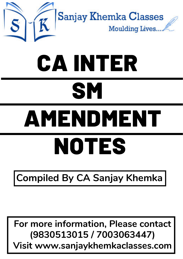

# CA INTER **SM**

# AMENDMENT NOTES

# **Compiled By CA Sanjay Khemka**

# **For more information, Please contact (9830513015 / 7003063447) Visit www.sanjaykhemkaclasses.com**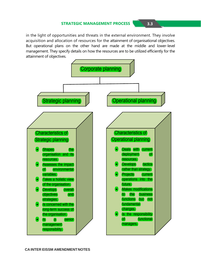#### **STRATEGIC MANAGEMENT PROCESS 3.3**

in the light of opportunities and threats in the external environment. They involve acquisition and allocation of resources for the attainment of organisational objectives. But operational plans on the other hand are made at the middle and lower-level management. They specify details on how the resources are to be utilized efficiently for the attainment of objectives.

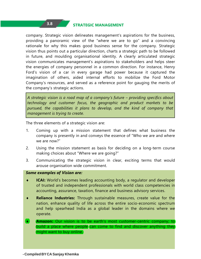#### **STRATEGIC MANAGEMENT 3.8**

company. Strategic vision delineates management's aspirations for the business, providing a panoramic view of the "where we are to go" and a convincing rationale for why this makes good business sense for the company. Strategic vision thus points out a particular direction, charts a strategic path to be followed in future, and moulding organisational identity. A clearly articulated strategic vision communicates management's aspirations to stakeholders and helps steer the energies of company personnel in a common direction. For instance, Henry Ford's vision of a car in every garage had power because it captured the imagination of others, aided internal efforts to mobilize the Ford Motor Company's resources, and served as a reference point for gauging the merits of the company's strategic actions.

*A strategic vision is a road map of a company's future – providing specifics about technology and customer focus, the geographic and product markets to be pursued, the capabilities it plans to develop, and the kind of company that management is trying to create.*

The three elements of a strategic vision are:

 $3.8$ 

- 1. Coming up with a mission statement that defines what business the company is presently in and conveys the essence of "Who we are and where we are now?"
- 2. Using the mission statement as basis for deciding on a long-term course making choices about "Where we are going?"
- 3. Communicating the strategic vision in clear, exciting terms that would arouse organisation wide commitment.

#### *Some examples of Vision are:*

- ♦ **ICAI:** World's becomes leading accounting body, a regulator and developer of trusted and independent professionals with world class competencies in accounting, assurance, taxation, finance and business advisory services.
- ♦ **Reliance Industries:** Through sustainable measures, create value for the nation, enhance quality of life across the entire socio-economic spectrum and help spearhead India as a global leader in the domains where we operate.
- ♦ **Amazon:** Our vision is to be earth's most customer-centric company; to build a place where people can come to find and discover anything they might want to buy online.

**- CompiledBYCA Sanjay Khemka**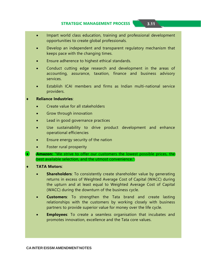#### **STRATEGIC MANAGEMENT PROCESS 3.11**

- Impart world class education, training and professional development opportunities to create global professionals.
- Develop an independent and transparent regulatory mechanism that keeps pace with the changing times.
- Ensure adherence to highest ethical standards.
- Conduct cutting edge research and development in the areas of accounting, assurance, taxation, finance and business advisory services.
- Establish ICAI members and firms as Indian multi-national service providers.

#### ♦ **Reliance Industries**:

- Create value for all stakeholders
- Grow through innovation
- Lead in good governance practices
- Use sustainability to drive product development and enhance operational efficiencies
- Ensure energy security of the nation
- Foster rural prosperity
- ♦ **Amazon:** "We strive to offer our customers the lowest possible prices, the best available selection, and the utmost convenience."
- **TATA Motors:** 
	- **Shareholders**: To consistently create shareholder value by generating returns in excess of Weighted Average Cost of Capital (WACC) during the upturn and at least equal to Weighted Average Cost of Capital (WACC) during the downturn of the business cycle.
	- **Customers**: To strengthen the Tata brand and create lasting relationships with the customers by working closely with business partners to provide superior value for money over the life cycle.
	- **Employees**: To create a seamless organisation that incubates and promotes innovation, excellence and the Tata core values.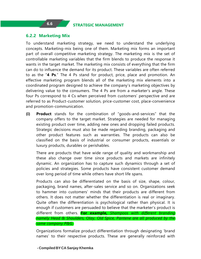#### **6.2.2 Marketing Mix**

To understand marketing strategy, we need to understand the underlying concepts. Marketing-mix being one of them. Marketing mix forms an important part of overall competitive marketing strategy. The marketing mix is the set of controllable marketing variables that the firm blends to produce the response it wants in the target market. The marketing mix consists of everything that the firm can do to influence the demand for its product. These variables are often referred to as the "**4 Ps**." The 4 Ps stand for product, price, place and promotion. An effective marketing program blends all of the marketing mix elements into a coordinated program designed to achieve the company's marketing objectives by delivering value to the consumers. The 4 Ps are from a marketer's angle. These four Ps correspond to 4 Cs when perceived from customers' perspective and are referred to as Product-customer solution, price-customer cost, place-convenience and promotion-communication.

**(i) Product** stands for the combination of "goods-and-services" that the company offers to the target market. Strategies are needed for managing existing product over time, adding new ones and dropping failed products. Strategic decisions must also be made regarding branding, packaging and other product features such as warranties. The products can also be classified on the basis of industrial or consumer products, essentials or luxury products, durables or perishables.

There are products that have wide range of quality and workmanship and these also change over time since products and markets are infinitely dynamic. An organization has to capture such dynamics through a set of policies and strategies. Some products have consistent customer demand over long period of time while others have short life spans.

Products can also be differentiated on the basis of size, shape, colour, packaging, brand names, after-sales service and so on. Organizations seek to hammer into customers' minds that their products are different from others. It does not matter whether the differentiation is real or imaginary. Quite often the differentiation is psychological rather than physical. It is enough if customers are persuaded to believe that the marketer's product is different from others. **For example,** *Shampoos with different branding namely Head & Shoulders, Olay, Old Spice, Pantene are all produced by the same company P&G.*

Organizations formalize product differentiation through designating 'brand names' to their respective products. These are generally reinforced with

#### **- CompiledBYCA Sanjay Khemka**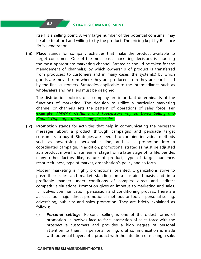#### **STRATEGIC MANAGEMENT 6.8**

 $6.8$ 

itself is a selling point. A very large number of the potential consumer may be able to afford and willing to try the product. The pricing kept by Reliance Jio is penetration.

**(iii) Place** stands for company activities that make the product available to target consumers. One of the most basic marketing decisions is choosing the most appropriate marketing channel. Strategies should be taken for the management of channel(s) by which ownership of product is transferred from producers to customers and in many cases, the system(s) by which goods are moved from where they are produced from they are purchased by the final customers. Strategies applicable to the intermediaries such as wholesalers and retailers must be designed.

The distribution policies of a company are important determinants of the functions of marketing. The decision to utilize a particular marketing channel or channels sets the pattern of operations of sales force. **For example,** *AMWAY, Oriflame and Tupperware rely on Direct Selling and Xiaomi, Oppo offer internet-only flash sales.*

**(iv) Promotion** stands for activities that help in communicating the necessary messages about a product through campaigns and persuade target consumers to buy it. Strategies are needed to combine individual methods such as advertising, personal selling, and sales promotion into a coordinated campaign. In addition, promotional strategies must be adjusted as a product move from an earlier stage from a later stage of its life, besides many other factors like, nature of product, type of target audience, resourcefulness, type of market, organisation's policy and so forth.

Modern marketing is highly promotional oriented. Organizations strive to push their sales and market standing on a sustained basis and in a profitable manner under conditions of complex direct and indirect competitive situations. Promotion gives an impetus to marketing and sales. It involves communication, persuasion and conditioning process. There are at least four major direct promotional methods or tools – personal selling, advertising, publicity and sales promotion. They are briefly explained as follows:

(i) *Personal selling:* Personal selling is one of the oldest forms of promotion. It involves face-to-face interaction of sales force with the prospective customers and provides a high degree of personal attention to them. In personal selling, oral communication is made with potential buyers of a product with the intention of making a sale.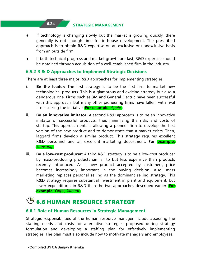### **STRATEGIC MANAGEMENT 6.24**

- If technology is changing slowly but the market is growing quickly, there generally is not enough time for in-house development. The prescribed approach is to obtain R&D expertise on an exclusive or nonexclusive basis from an outside firm.
- ♦ If both technical progress and market growth are fast, R&D expertise should be obtained through acquisition of a well-established firm in the industry.

#### **6.5.2 R & D Approaches to Implement Strategic Decisions**

There are at least three major R&D approaches for implementing strategies.

- i. **Be the leader:** The first strategy is to be the first firm to market new technological products. This is a glamorous and exciting strategy but also a dangerous one. Firms such as 3M and General Electric have been successful with this approach, but many other pioneering firms have fallen, with rival firms seizing the initiative. **For example,** *Apple*.
- ii. **Be an innovative imitator:** A second R&D approach is to be an innovative imitator of successful products, thus minimizing the risks and costs of startup. This approach entails allowing a pioneer firm to develop the first version of the new product and to demonstrate that a market exists. Then, laggard firms develop a similar product. This strategy requires excellent R&D personnel and an excellent marketing department. **For example,** *Samsung.*
- iii. **Be a low-cost producer:** A third R&D strategy is to be a low-cost producer by mass-producing products similar to but less expensive than products recently introduced. As a new product accepted by customers, price becomes increasingly important in the buying decision. Also, mass marketing replaces personal selling as the dominant selling strategy. This R&D strategy requires substantial investment in plant and equipment, but fewer expenditures in R&D than the two approaches described earlier. **For example,** *Oppo, Xiaomi*.

# **6.6 HUMAN RESOURCE STRATEGY**

#### **6.6.1 Role of Human Resources in Strategic Management**

Strategic responsibilities of the human resource manager include assessing the staffing needs and costs for alternative strategies proposed during strategy formulation and developing a staffing plan for effectively implementing strategies. The plan must also include how to motivate managers and employees.